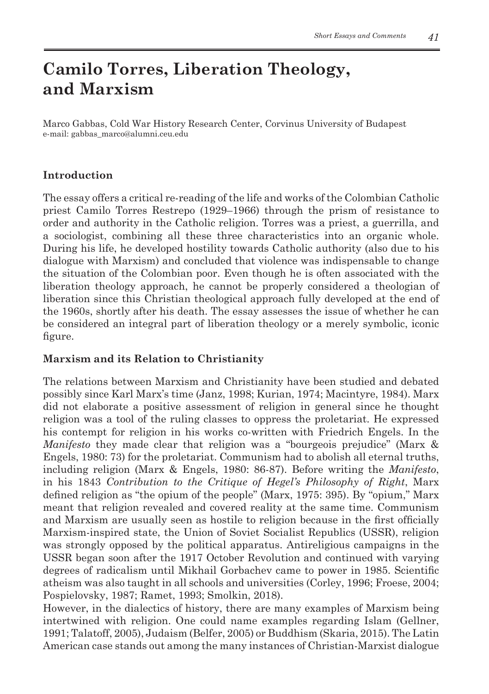# **Camilo Torres, Liberation Theology, and Marxism**

Marco Gabbas, Cold War History Research Center, Corvinus University of Budapest e-mail: gabbas\_marco@alumni.ceu.edu

## **Introduction**

The essay offers a critical re-reading of the life and works of the Colombian Catholic priest Camilo Torres Restrepo (1929–1966) through the prism of resistance to order and authority in the Catholic religion. Torres was a priest, a guerrilla, and a sociologist, combining all these three characteristics into an organic whole. During his life, he developed hostility towards Catholic authority (also due to his dialogue with Marxism) and concluded that violence was indispensable to change the situation of the Colombian poor. Even though he is often associated with the liberation theology approach, he cannot be properly considered a theologian of liberation since this Christian theological approach fully developed at the end of the 1960s, shortly after his death. The essay assesses the issue of whether he can be considered an integral part of liberation theology or a merely symbolic, iconic figure.

## **Marxism and its Relation to Christianity**

The relations between Marxism and Christianity have been studied and debated possibly since Karl Marx's time (Janz, 1998; Kurian, 1974; Macintyre, 1984). Marx did not elaborate a positive assessment of religion in general since he thought religion was a tool of the ruling classes to oppress the proletariat. He expressed his contempt for religion in his works co-written with Friedrich Engels. In the *Manifesto* they made clear that religion was a "bourgeois prejudice" (Marx & Engels, 1980: 73) for the proletariat. Communism had to abolish all eternal truths, including religion (Marx & Engels, 1980: 86-87). Before writing the *Manifesto*, in his 1843 *Contribution to the Critique of Hegel's Philosophy of Right*, Marx defined religion as "the opium of the people" (Marx, 1975: 395). By "opium," Marx meant that religion revealed and covered reality at the same time. Communism and Marxism are usually seen as hostile to religion because in the first officially Marxism-inspired state, the Union of Soviet Socialist Republics (USSR), religion was strongly opposed by the political apparatus. Antireligious campaigns in the USSR began soon after the 1917 October Revolution and continued with varying degrees of radicalism until Mikhail Gorbachev came to power in 1985. Scientific atheism was also taught in all schools and universities (Corley, 1996; Froese, 2004; Pospielovsky, 1987; Ramet, 1993; Smolkin, 2018).

However, in the dialectics of history, there are many examples of Marxism being intertwined with religion. One could name examples regarding Islam (Gellner, 1991; Talatoff, 2005), Judaism (Belfer, 2005) or Buddhism (Skaria, 2015). The Latin American case stands out among the many instances of Christian-Marxist dialogue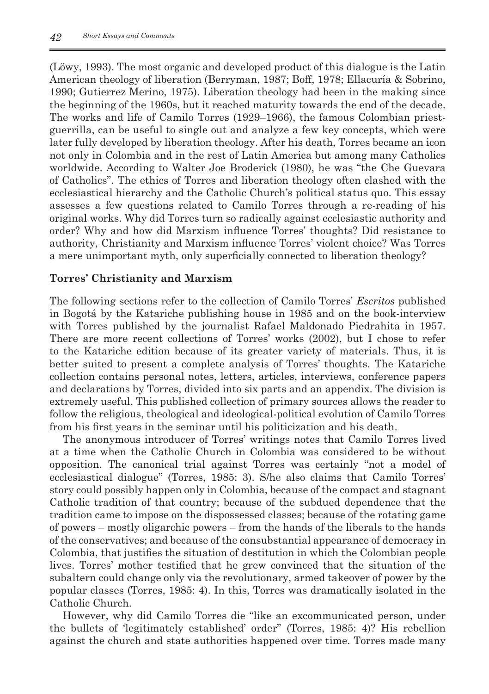(Löwy, 1993). The most organic and developed product of this dialogue is the Latin American theology of liberation (Berryman, 1987; Boff, 1978; Ellacuría & Sobrino, 1990; Gutierrez Merino, 1975). Liberation theology had been in the making since the beginning of the 1960s, but it reached maturity towards the end of the decade. The works and life of Camilo Torres (1929–1966), the famous Colombian priestguerrilla, can be useful to single out and analyze a few key concepts, which were later fully developed by liberation theology. After his death, Torres became an icon not only in Colombia and in the rest of Latin America but among many Catholics worldwide. According to Walter Joe Broderick (1980), he was "the Che Guevara of Catholics". The ethics of Torres and liberation theology often clashed with the ecclesiastical hierarchy and the Catholic Church's political status quo. This essay assesses a few questions related to Camilo Torres through a re-reading of his original works. Why did Torres turn so radically against ecclesiastic authority and order? Why and how did Marxism influence Torres' thoughts? Did resistance to authority, Christianity and Marxism influence Torres' violent choice? Was Torres a mere unimportant myth, only superficially connected to liberation theology?

#### **Torres' Christianity and Marxism**

The following sections refer to the collection of Camilo Torres' *Escritos* published in Bogotá by the Katariche publishing house in 1985 and on the book-interview with Torres published by the journalist Rafael Maldonado Piedrahita in 1957. There are more recent collections of Torres' works (2002), but I chose to refer to the Katariche edition because of its greater variety of materials. Thus, it is better suited to present a complete analysis of Torres' thoughts. The Katariche collection contains personal notes, letters, articles, interviews, conference papers and declarations by Torres, divided into six parts and an appendix. The division is extremely useful. This published collection of primary sources allows the reader to follow the religious, theological and ideological-political evolution of Camilo Torres from his first years in the seminar until his politicization and his death.

The anonymous introducer of Torres' writings notes that Camilo Torres lived at a time when the Catholic Church in Colombia was considered to be without opposition. The canonical trial against Torres was certainly "not a model of ecclesiastical dialogue" (Torres, 1985: 3). S/he also claims that Camilo Torres' story could possibly happen only in Colombia, because of the compact and stagnant Catholic tradition of that country; because of the subdued dependence that the tradition came to impose on the dispossessed classes; because of the rotating game of powers – mostly oligarchic powers – from the hands of the liberals to the hands of the conservatives; and because of the consubstantial appearance of democracy in Colombia, that justifies the situation of destitution in which the Colombian people lives. Torres' mother testified that he grew convinced that the situation of the subaltern could change only via the revolutionary, armed takeover of power by the popular classes (Torres, 1985: 4). In this, Torres was dramatically isolated in the Catholic Church.

However, why did Camilo Torres die "like an excommunicated person, under the bullets of 'legitimately established' order" (Torres, 1985: 4)? His rebellion against the church and state authorities happened over time. Torres made many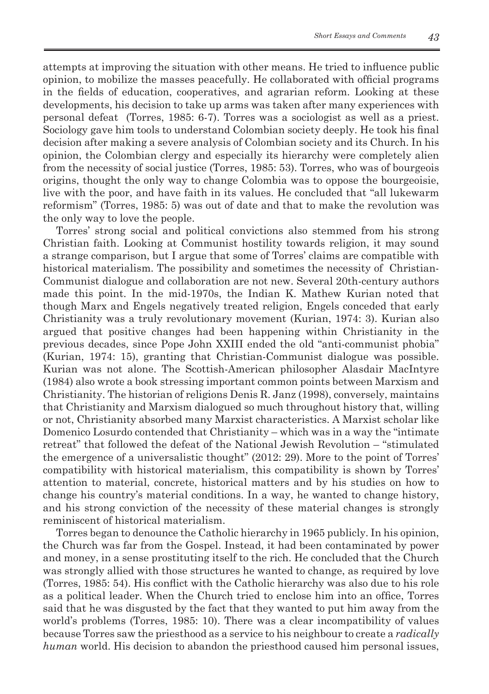attempts at improving the situation with other means. He tried to influence public opinion, to mobilize the masses peacefully. He collaborated with official programs in the fields of education, cooperatives, and agrarian reform. Looking at these developments, his decision to take up arms was taken after many experiences with personal defeat (Torres, 1985: 6-7). Torres was a sociologist as well as a priest. Sociology gave him tools to understand Colombian society deeply. He took his final decision after making a severe analysis of Colombian society and its Church. In his opinion, the Colombian clergy and especially its hierarchy were completely alien from the necessity of social justice (Torres, 1985: 53). Torres, who was of bourgeois origins, thought the only way to change Colombia was to oppose the bourgeoisie, live with the poor, and have faith in its values. He concluded that "all lukewarm reformism" (Torres, 1985: 5) was out of date and that to make the revolution was the only way to love the people.

Torres' strong social and political convictions also stemmed from his strong Christian faith. Looking at Communist hostility towards religion, it may sound a strange comparison, but I argue that some of Torres' claims are compatible with historical materialism. The possibility and sometimes the necessity of Christian-Communist dialogue and collaboration are not new. Several 20th-century authors made this point. In the mid-1970s, the Indian K. Mathew Kurian noted that though Marx and Engels negatively treated religion, Engels conceded that early Christianity was a truly revolutionary movement (Kurian, 1974: 3). Kurian also argued that positive changes had been happening within Christianity in the previous decades, since Pope John XXIII ended the old "anti-communist phobia" (Kurian, 1974: 15), granting that Christian-Communist dialogue was possible. Kurian was not alone. The Scottish-American philosopher Alasdair MacIntyre (1984) also wrote a book stressing important common points between Marxism and Christianity. The historian of religions Denis R. Janz (1998), conversely, maintains that Christianity and Marxism dialogued so much throughout history that, willing or not, Christianity absorbed many Marxist characteristics. A Marxist scholar like Domenico Losurdo contended that Christianity – which was in a way the "intimate retreat" that followed the defeat of the National Jewish Revolution – "stimulated the emergence of a universalistic thought" (2012: 29). More to the point of Torres' compatibility with historical materialism, this compatibility is shown by Torres' attention to material, concrete, historical matters and by his studies on how to change his country's material conditions. In a way, he wanted to change history, and his strong conviction of the necessity of these material changes is strongly reminiscent of historical materialism.

Torres began to denounce the Catholic hierarchy in 1965 publicly. In his opinion, the Church was far from the Gospel. Instead, it had been contaminated by power and money, in a sense prostituting itself to the rich. He concluded that the Church was strongly allied with those structures he wanted to change, as required by love (Torres, 1985: 54). His conflict with the Catholic hierarchy was also due to his role as a political leader. When the Church tried to enclose him into an office, Torres said that he was disgusted by the fact that they wanted to put him away from the world's problems (Torres, 1985: 10). There was a clear incompatibility of values because Torres saw the priesthood as a service to his neighbour to create a *radically human* world. His decision to abandon the priesthood caused him personal issues,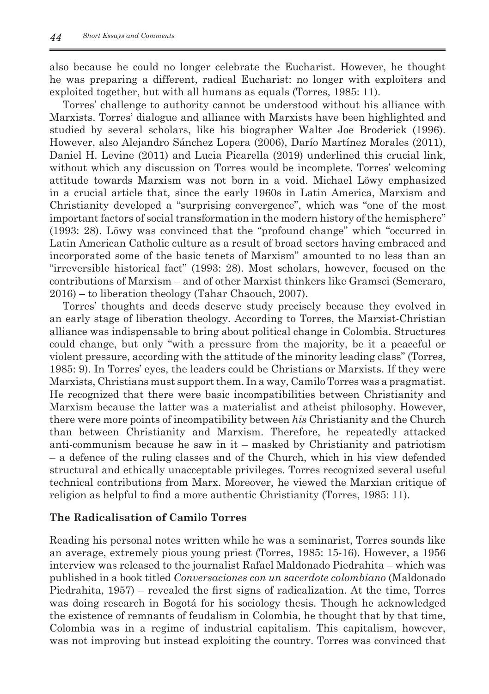also because he could no longer celebrate the Eucharist. However, he thought he was preparing a different, radical Eucharist: no longer with exploiters and exploited together, but with all humans as equals (Torres, 1985: 11).

Torres' challenge to authority cannot be understood without his alliance with Marxists. Torres' dialogue and alliance with Marxists have been highlighted and studied by several scholars, like his biographer Walter Joe Broderick (1996). However, also Alejandro Sánchez Lopera (2006), Darío Martínez Morales (2011), Daniel H. Levine (2011) and Lucia Picarella (2019) underlined this crucial link, without which any discussion on Torres would be incomplete. Torres' welcoming attitude towards Marxism was not born in a void. Michael Löwy emphasized in a crucial article that, since the early 1960s in Latin America, Marxism and Christianity developed a "surprising convergence", which was "one of the most important factors of social transformation in the modern history of the hemisphere" (1993: 28). Löwy was convinced that the "profound change" which "occurred in Latin American Catholic culture as a result of broad sectors having embraced and incorporated some of the basic tenets of Marxism" amounted to no less than an "irreversible historical fact" (1993: 28). Most scholars, however, focused on the contributions of Marxism – and of other Marxist thinkers like Gramsci (Semeraro, 2016) – to liberation theology (Tahar Chaouch, 2007).

Torres' thoughts and deeds deserve study precisely because they evolved in an early stage of liberation theology. According to Torres, the Marxist-Christian alliance was indispensable to bring about political change in Colombia. Structures could change, but only "with a pressure from the majority, be it a peaceful or violent pressure, according with the attitude of the minority leading class" (Torres, 1985: 9). In Torres' eyes, the leaders could be Christians or Marxists. If they were Marxists, Christians must support them. In a way, Camilo Torres was a pragmatist. He recognized that there were basic incompatibilities between Christianity and Marxism because the latter was a materialist and atheist philosophy. However, there were more points of incompatibility between *his* Christianity and the Church than between Christianity and Marxism. Therefore, he repeatedly attacked anti-communism because he saw in it – masked by Christianity and patriotism – a defence of the ruling classes and of the Church, which in his view defended structural and ethically unacceptable privileges. Torres recognized several useful technical contributions from Marx. Moreover, he viewed the Marxian critique of religion as helpful to find a more authentic Christianity (Torres, 1985: 11).

## **The Radicalisation of Camilo Torres**

Reading his personal notes written while he was a seminarist, Torres sounds like an average, extremely pious young priest (Torres, 1985: 15-16). However, a 1956 interview was released to the journalist Rafael Maldonado Piedrahita – which was published in a book titled *Conversaciones con un sacerdote colombiano* (Maldonado Piedrahita, 1957) – revealed the first signs of radicalization. At the time, Torres was doing research in Bogotá for his sociology thesis. Though he acknowledged the existence of remnants of feudalism in Colombia, he thought that by that time, Colombia was in a regime of industrial capitalism. This capitalism, however, was not improving but instead exploiting the country. Torres was convinced that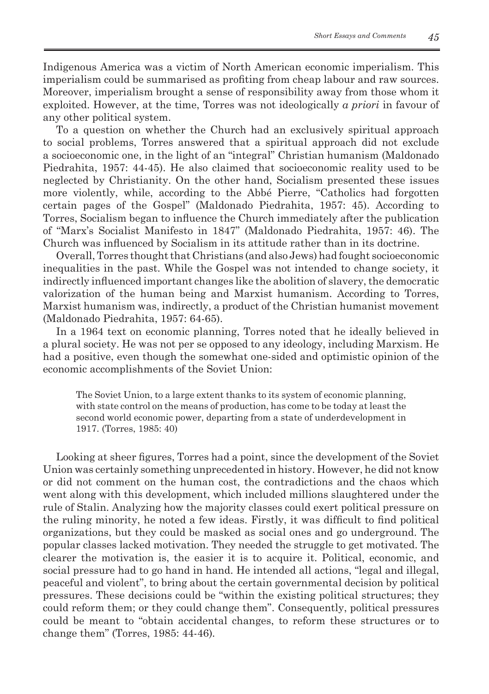Indigenous America was a victim of North American economic imperialism. This imperialism could be summarised as profiting from cheap labour and raw sources. Moreover, imperialism brought a sense of responsibility away from those whom it exploited. However, at the time, Torres was not ideologically *a priori* in favour of any other political system.

To a question on whether the Church had an exclusively spiritual approach to social problems, Torres answered that a spiritual approach did not exclude a socioeconomic one, in the light of an "integral" Christian humanism (Maldonado Piedrahita, 1957: 44-45). He also claimed that socioeconomic reality used to be neglected by Christianity. On the other hand, Socialism presented these issues more violently, while, according to the Abbé Pierre, "Catholics had forgotten certain pages of the Gospel" (Maldonado Piedrahita, 1957: 45). According to Torres, Socialism began to influence the Church immediately after the publication of "Marx's Socialist Manifesto in 1847" (Maldonado Piedrahita, 1957: 46). The Church was influenced by Socialism in its attitude rather than in its doctrine.

Overall, Torres thought that Christians (and also Jews) had fought socioeconomic inequalities in the past. While the Gospel was not intended to change society, it indirectly influenced important changes like the abolition of slavery, the democratic valorization of the human being and Marxist humanism. According to Torres, Marxist humanism was, indirectly, a product of the Christian humanist movement (Maldonado Piedrahita, 1957: 64-65).

In a 1964 text on economic planning, Torres noted that he ideally believed in a plural society. He was not per se opposed to any ideology, including Marxism. He had a positive, even though the somewhat one-sided and optimistic opinion of the economic accomplishments of the Soviet Union:

The Soviet Union, to a large extent thanks to its system of economic planning, with state control on the means of production, has come to be today at least the second world economic power, departing from a state of underdevelopment in 1917. (Torres, 1985: 40)

Looking at sheer figures, Torres had a point, since the development of the Soviet Union was certainly something unprecedented in history. However, he did not know or did not comment on the human cost, the contradictions and the chaos which went along with this development, which included millions slaughtered under the rule of Stalin. Analyzing how the majority classes could exert political pressure on the ruling minority, he noted a few ideas. Firstly, it was difficult to find political organizations, but they could be masked as social ones and go underground. The popular classes lacked motivation. They needed the struggle to get motivated. The clearer the motivation is, the easier it is to acquire it. Political, economic, and social pressure had to go hand in hand. He intended all actions, "legal and illegal, peaceful and violent", to bring about the certain governmental decision by political pressures. These decisions could be "within the existing political structures; they could reform them; or they could change them". Consequently, political pressures could be meant to "obtain accidental changes, to reform these structures or to change them" (Torres, 1985: 44-46)*.*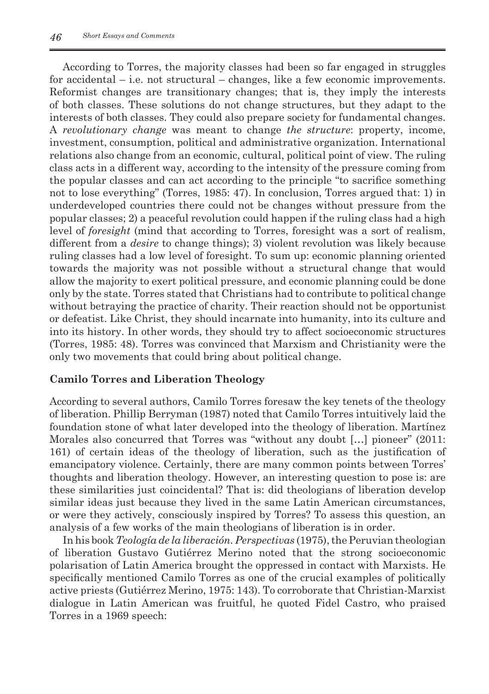According to Torres, the majority classes had been so far engaged in struggles for accidental – i.e. not structural – changes, like a few economic improvements. Reformist changes are transitionary changes; that is, they imply the interests of both classes. These solutions do not change structures, but they adapt to the interests of both classes. They could also prepare society for fundamental changes. A *revolutionary change* was meant to change *the structure*: property, income, investment, consumption, political and administrative organization. International relations also change from an economic, cultural, political point of view. The ruling class acts in a different way, according to the intensity of the pressure coming from the popular classes and can act according to the principle "to sacrifice something not to lose everything" (Torres, 1985: 47). In conclusion, Torres argued that: 1) in underdeveloped countries there could not be changes without pressure from the popular classes; 2) a peaceful revolution could happen if the ruling class had a high level of *foresight* (mind that according to Torres, foresight was a sort of realism, different from a *desire* to change things); 3) violent revolution was likely because ruling classes had a low level of foresight. To sum up: economic planning oriented towards the majority was not possible without a structural change that would allow the majority to exert political pressure, and economic planning could be done only by the state. Torres stated that Christians had to contribute to political change without betraying the practice of charity. Their reaction should not be opportunist or defeatist. Like Christ, they should incarnate into humanity, into its culture and into its history. In other words, they should try to affect socioeconomic structures (Torres, 1985: 48). Torres was convinced that Marxism and Christianity were the only two movements that could bring about political change.

### **Camilo Torres and Liberation Theology**

According to several authors, Camilo Torres foresaw the key tenets of the theology of liberation. Phillip Berryman (1987) noted that Camilo Torres intuitively laid the foundation stone of what later developed into the theology of liberation. Martínez Morales also concurred that Torres was "without any doubt […] pioneer" (2011: 161) of certain ideas of the theology of liberation, such as the justification of emancipatory violence. Certainly, there are many common points between Torres' thoughts and liberation theology. However, an interesting question to pose is: are these similarities just coincidental? That is: did theologians of liberation develop similar ideas just because they lived in the same Latin American circumstances, or were they actively, consciously inspired by Torres? To assess this question, an analysis of a few works of the main theologians of liberation is in order.

In his book *Teología de la liberación. Perspectivas* (1975), the Peruvian theologian of liberation Gustavo Gutiérrez Merino noted that the strong socioeconomic polarisation of Latin America brought the oppressed in contact with Marxists. He specifically mentioned Camilo Torres as one of the crucial examples of politically active priests (Gutiérrez Merino, 1975: 143). To corroborate that Christian-Marxist dialogue in Latin American was fruitful, he quoted Fidel Castro, who praised Torres in a 1969 speech: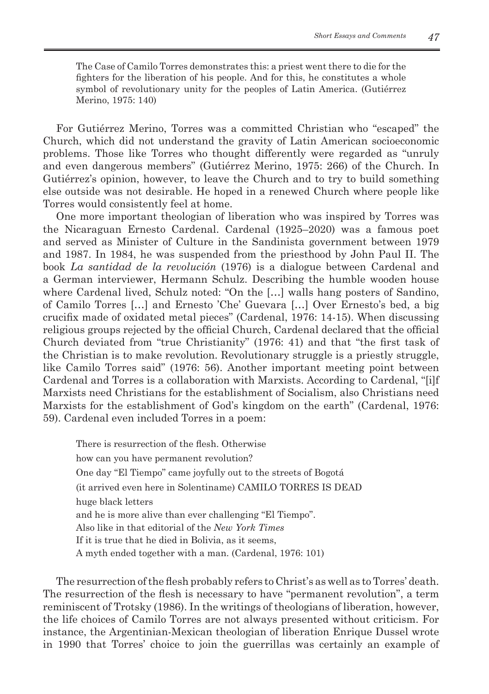The Case of Camilo Torres demonstrates this: a priest went there to die for the fighters for the liberation of his people. And for this, he constitutes a whole symbol of revolutionary unity for the peoples of Latin America. (Gutiérrez Merino, 1975: 140)

For Gutiérrez Merino, Torres was a committed Christian who "escaped" the Church, which did not understand the gravity of Latin American socioeconomic problems. Those like Torres who thought differently were regarded as "unruly and even dangerous members" (Gutiérrez Merino, 1975: 266) of the Church. In Gutiérrez's opinion, however, to leave the Church and to try to build something else outside was not desirable. He hoped in a renewed Church where people like Torres would consistently feel at home.

One more important theologian of liberation who was inspired by Torres was the Nicaraguan Ernesto Cardenal. Cardenal (1925–2020) was a famous poet and served as Minister of Culture in the Sandinista government between 1979 and 1987. In 1984, he was suspended from the priesthood by John Paul II. The book *La santidad de la revolución* (1976) is a dialogue between Cardenal and a German interviewer, Hermann Schulz. Describing the humble wooden house where Cardenal lived, Schulz noted: "On the […] walls hang posters of Sandino, of Camilo Torres […] and Ernesto 'Che' Guevara […] Over Ernesto's bed, a big crucifix made of oxidated metal pieces" (Cardenal, 1976: 14-15). When discussing religious groups rejected by the official Church, Cardenal declared that the official Church deviated from "true Christianity" (1976: 41) and that "the first task of the Christian is to make revolution. Revolutionary struggle is a priestly struggle, like Camilo Torres said" (1976: 56). Another important meeting point between Cardenal and Torres is a collaboration with Marxists. According to Cardenal, "[i]f Marxists need Christians for the establishment of Socialism, also Christians need Marxists for the establishment of God's kingdom on the earth" (Cardenal, 1976: 59). Cardenal even included Torres in a poem:

There is resurrection of the flesh. Otherwise how can you have permanent revolution? One day "El Tiempo" came joyfully out to the streets of Bogotá (it arrived even here in Solentiname) CAMILO TORRES IS DEAD huge black letters and he is more alive than ever challenging "El Tiempo". Also like in that editorial of the *New York Times* If it is true that he died in Bolivia, as it seems, A myth ended together with a man. (Cardenal, 1976: 101)

The resurrection of the flesh probably refers to Christ's as well as to Torres' death. The resurrection of the flesh is necessary to have "permanent revolution", a term reminiscent of Trotsky (1986). In the writings of theologians of liberation, however, the life choices of Camilo Torres are not always presented without criticism. For instance, the Argentinian-Mexican theologian of liberation Enrique Dussel wrote in 1990 that Torres' choice to join the guerrillas was certainly an example of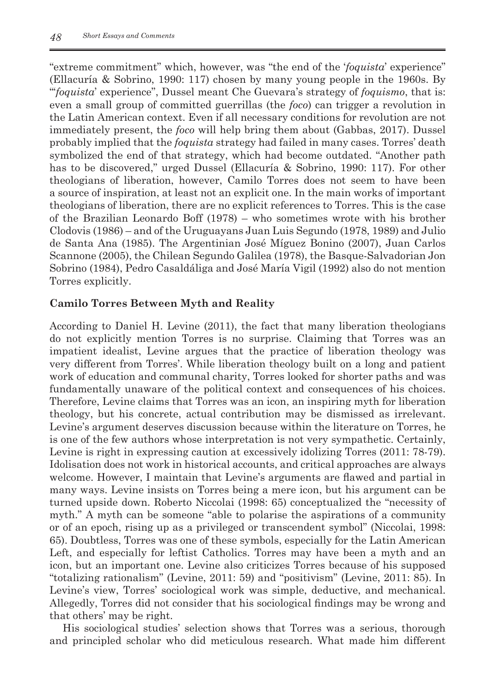"extreme commitment" which, however, was "the end of the '*foquista*' experience" (Ellacuría & Sobrino, 1990: 117) chosen by many young people in the 1960s. By "'*foquista*' experience", Dussel meant Che Guevara's strategy of *foquismo*, that is: even a small group of committed guerrillas (the *foco*) can trigger a revolution in the Latin American context. Even if all necessary conditions for revolution are not immediately present, the *foco* will help bring them about (Gabbas, 2017). Dussel probably implied that the *foquista* strategy had failed in many cases. Torres' death symbolized the end of that strategy, which had become outdated. "Another path has to be discovered," urged Dussel (Ellacuría & Sobrino, 1990: 117). For other theologians of liberation, however, Camilo Torres does not seem to have been a source of inspiration, at least not an explicit one. In the main works of important theologians of liberation, there are no explicit references to Torres. This is the case of the Brazilian Leonardo Boff (1978) – who sometimes wrote with his brother Clodovis (1986) – and of the Uruguayans Juan Luis Segundo (1978, 1989) and Julio de Santa Ana (1985). The Argentinian José Míguez Bonino (2007), Juan Carlos Scannone (2005), the Chilean Segundo Galilea (1978), the Basque-Salvadorian Jon Sobrino (1984), Pedro Casaldáliga and José María Vigil (1992) also do not mention Torres explicitly.

## **Camilo Torres Between Myth and Reality**

According to Daniel H. Levine (2011), the fact that many liberation theologians do not explicitly mention Torres is no surprise. Claiming that Torres was an impatient idealist, Levine argues that the practice of liberation theology was very different from Torres'. While liberation theology built on a long and patient work of education and communal charity, Torres looked for shorter paths and was fundamentally unaware of the political context and consequences of his choices. Therefore, Levine claims that Torres was an icon, an inspiring myth for liberation theology, but his concrete, actual contribution may be dismissed as irrelevant. Levine's argument deserves discussion because within the literature on Torres, he is one of the few authors whose interpretation is not very sympathetic. Certainly, Levine is right in expressing caution at excessively idolizing Torres (2011: 78-79). Idolisation does not work in historical accounts, and critical approaches are always welcome. However, I maintain that Levine's arguments are flawed and partial in many ways. Levine insists on Torres being a mere icon, but his argument can be turned upside down. Roberto Niccolai (1998: 65) conceptualized the "necessity of myth." A myth can be someone "able to polarise the aspirations of a community or of an epoch, rising up as a privileged or transcendent symbol" (Niccolai, 1998: 65). Doubtless, Torres was one of these symbols, especially for the Latin American Left, and especially for leftist Catholics. Torres may have been a myth and an icon, but an important one. Levine also criticizes Torres because of his supposed "totalizing rationalism" (Levine, 2011: 59) and "positivism" (Levine, 2011: 85). In Levine's view, Torres' sociological work was simple, deductive, and mechanical. Allegedly, Torres did not consider that his sociological findings may be wrong and that others' may be right.

His sociological studies' selection shows that Torres was a serious, thorough and principled scholar who did meticulous research. What made him different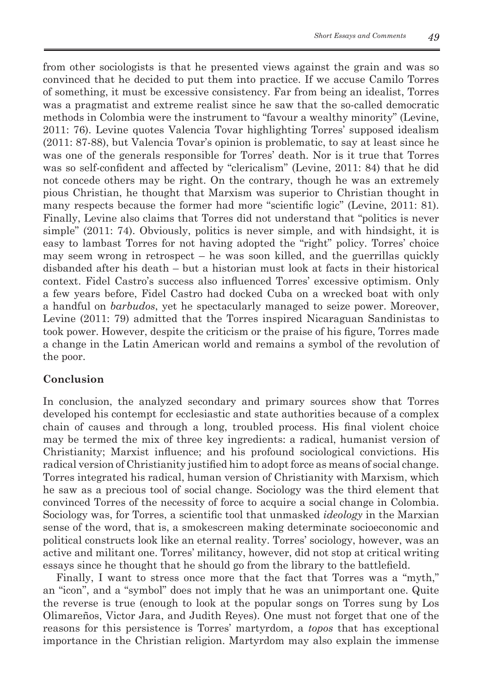from other sociologists is that he presented views against the grain and was so convinced that he decided to put them into practice. If we accuse Camilo Torres of something, it must be excessive consistency. Far from being an idealist, Torres was a pragmatist and extreme realist since he saw that the so-called democratic methods in Colombia were the instrument to "favour a wealthy minority" (Levine, 2011: 76). Levine quotes Valencia Tovar highlighting Torres' supposed idealism (2011: 87-88), but Valencia Tovar's opinion is problematic, to say at least since he was one of the generals responsible for Torres' death. Nor is it true that Torres was so self-confident and affected by "clericalism" (Levine, 2011: 84) that he did not concede others may be right. On the contrary, though he was an extremely pious Christian, he thought that Marxism was superior to Christian thought in many respects because the former had more "scientific logic" (Levine, 2011: 81). Finally, Levine also claims that Torres did not understand that "politics is never simple" (2011: 74). Obviously, politics is never simple, and with hindsight, it is easy to lambast Torres for not having adopted the "right" policy. Torres' choice may seem wrong in retrospect – he was soon killed, and the guerrillas quickly disbanded after his death – but a historian must look at facts in their historical context. Fidel Castro's success also influenced Torres' excessive optimism. Only a few years before, Fidel Castro had docked Cuba on a wrecked boat with only a handful on *barbudos*, yet he spectacularly managed to seize power. Moreover, Levine (2011: 79) admitted that the Torres inspired Nicaraguan Sandinistas to took power. However, despite the criticism or the praise of his figure, Torres made a change in the Latin American world and remains a symbol of the revolution of the poor.

#### **Conclusion**

In conclusion, the analyzed secondary and primary sources show that Torres developed his contempt for ecclesiastic and state authorities because of a complex chain of causes and through a long, troubled process. His final violent choice may be termed the mix of three key ingredients: a radical, humanist version of Christianity; Marxist influence; and his profound sociological convictions. His radical version of Christianity justified him to adopt force as means of social change. Torres integrated his radical, human version of Christianity with Marxism, which he saw as a precious tool of social change. Sociology was the third element that convinced Torres of the necessity of force to acquire a social change in Colombia. Sociology was, for Torres, a scientific tool that unmasked *ideology* in the Marxian sense of the word, that is, a smokescreen making determinate socioeconomic and political constructs look like an eternal reality. Torres' sociology, however, was an active and militant one. Torres' militancy, however, did not stop at critical writing essays since he thought that he should go from the library to the battlefield.

Finally, I want to stress once more that the fact that Torres was a "myth," an "icon", and a "symbol" does not imply that he was an unimportant one. Quite the reverse is true (enough to look at the popular songs on Torres sung by Los Olimareños, Victor Jara, and Judith Reyes). One must not forget that one of the reasons for this persistence is Torres' martyrdom, a *topos* that has exceptional importance in the Christian religion. Martyrdom may also explain the immense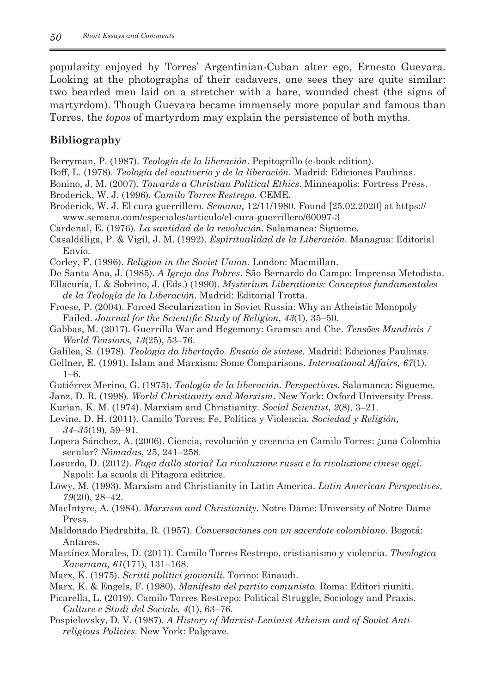popularity enjoyed by Torres' Argentinian-Cuban alter ego, Ernesto Guevara. Looking at the photographs of their cadavers, one sees they are quite similar: two bearded men laid on a stretcher with a bare, wounded chest (the signs of martyrdom). Though Guevara became immensely more popular and famous than Torres, the *topos* of martyrdom may explain the persistence of both myths.

### **Bibliography**

- Berryman, P. (1987). *Teología de la liberación*. Pepitogrillo (e-book edition).
- Boff, L. (1978). *Teología del cautiverio y de la liberación*. Madrid: Ediciones Paulinas.
- Bonino, J. M. (2007). *Towards a Christian Political Ethics*. Minneapolis: Fortress Press.
- Broderick, W. J. (1996). *Camilo Torres Restrepo*. CEME.
- Broderick, W. J. El cura guerrillero. *Semana*, 12/11/1980. Found [25.02.2020] at https:// www.semana.com/especiales/articulo/el-cura-guerrillero/60097-3
- Cardenal, E. (1976). *La santidad de la revolución*. Salamanca: Sigueme.
- Casaldáliga, P. & Vigil, J. M. (1992). *Espiritualidad de la Liberación.* Managua: Editorial Envio.
- Corley, F. (1996). *Religion in the Soviet Union.* London: Macmillan.
- De Santa Ana, J. (1985). *A Igreja dos Pobres*. São Bernardo do Campo: Imprensa Metodista.
- Ellacuría, I. & Sobrino, J. (Eds.) (1990). *Mysterium Liberationis: Conceptos fundamentales de la Teología de la Liberación*. Madrid: Editorial Trotta.
- Froese, P. (2004). Forced Secularization in Soviet Russia: Why an Atheistic Monopoly Failed. *Journal for the Scientific Study of Religion*, *43*(1), 35–50.
- Gabbas, M. (2017). Guerrilla War and Hegemony: Gramsci and Che. *Tensões Mundiais / World Tensions, 13*(25), 53–76.
- Galilea, S. (1978). *Teologia da libertação. Ensaio de sintese.* Madrid: Ediciones Paulinas.
- Gellner, E. (1991). Islam and Marxism: Some Comparisons. *International Affairs, 67*(1), 1–6.
- Gutiérrez Merino, G. (1975). *Teología de la liberación. Perspectivas*. Salamanca: Sigueme.
- Janz, D. R. (1998). *World Christianity and Marxism*. New York: Oxford University Press.
- Kurian, K. M. (1974). Marxism and Christianity. *Social Scientist*, *2*(8), 3–21.
- Levine, D. H. (2011). Camilo Torres: Fe, Política y Violencia. *Sociedad y Religión, 34–35*(19), 59–91.
- Lopera Sánchez, A. (2006). Ciencia, revolución y creencia en Camilo Torres: ¿una Colombia secular? *Nómadas*, 25, 241–258.
- Losurdo, D. (2012). *Fuga dalla storia? La rivoluzione russa e la rivoluzione cinese oggi*. Napoli: La scuola di Pitagora editrice.
- Löwy, M. (1993). Marxism and Christianity in Latin America. *Latin American Perspectives, 79*(20), 28–42.
- MacIntyre, A. (1984). *Marxism and Christianity*. Notre Dame: University of Notre Dame Press.
- Maldonado Piedrahita, R. (1957). *Conversaciones con un sacerdote colombiano*. Bogotá: Antares.
- Martínez Morales, D. (2011). Camilo Torres Restrepo, cristianismo y violencia. *Theologica Xaveriana, 61*(171), 131–168.
- Marx, K. (1975). *Scritti politici giovanili*. Torino: Einaudi.
- Marx, K. & Engels, F. (1980). *Manifesto del partito comunista.* Roma: Editori riuniti.
- Picarella, L. (2019). Camilo Torres Restrepo: Political Struggle, Sociology and Praxis. *Culture e Studi del Sociale, 4*(1), 63–76.
- Pospielovsky, D. V. (1987). *A History of Marxist-Leninist Atheism and of Soviet Antireligious Policies.* New York: Palgrave.